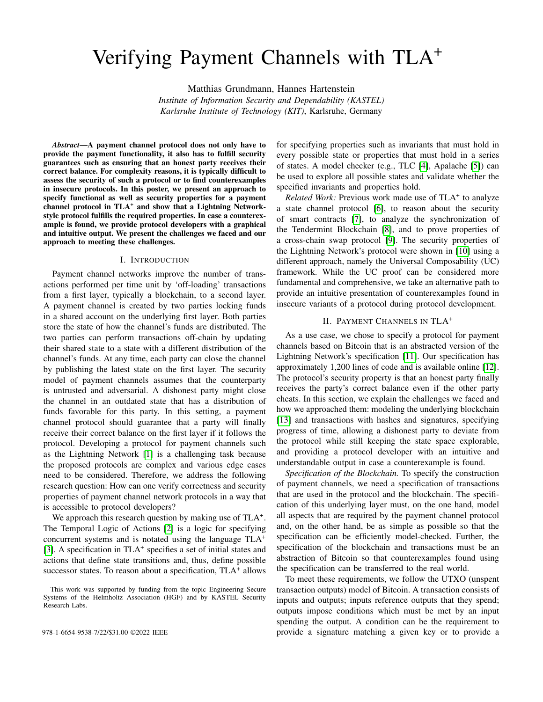# Verifying Payment Channels with TLA<sup>+</sup>

Matthias Grundmann, Hannes Hartenstein *Institute of Information Security and Dependability (KASTEL) Karlsruhe Institute of Technology (KIT)*, Karlsruhe, Germany

*Abstract*—A payment channel protocol does not only have to provide the payment functionality, it also has to fulfill security guarantees such as ensuring that an honest party receives their correct balance. For complexity reasons, it is typically difficult to assess the security of such a protocol or to find counterexamples in insecure protocols. In this poster, we present an approach to specify functional as well as security properties for a payment channel protocol in TLA<sup>+</sup> and show that a Lightning Networkstyle protocol fulfills the required properties. In case a counterexample is found, we provide protocol developers with a graphical and intuitive output. We present the challenges we faced and our approach to meeting these challenges.

#### I. INTRODUCTION

Payment channel networks improve the number of transactions performed per time unit by 'off-loading' transactions from a first layer, typically a blockchain, to a second layer. A payment channel is created by two parties locking funds in a shared account on the underlying first layer. Both parties store the state of how the channel's funds are distributed. The two parties can perform transactions off-chain by updating their shared state to a state with a different distribution of the channel's funds. At any time, each party can close the channel by publishing the latest state on the first layer. The security model of payment channels assumes that the counterparty is untrusted and adversarial. A dishonest party might close the channel in an outdated state that has a distribution of funds favorable for this party. In this setting, a payment channel protocol should guarantee that a party will finally receive their correct balance on the first layer if it follows the protocol. Developing a protocol for payment channels such as the Lightning Network [\[1\]](#page-2-0) is a challenging task because the proposed protocols are complex and various edge cases need to be considered. Therefore, we address the following research question: How can one verify correctness and security properties of payment channel network protocols in a way that is accessible to protocol developers?

We approach this research question by making use of TLA<sup>+</sup>. The Temporal Logic of Actions [\[2\]](#page-2-1) is a logic for specifying concurrent systems and is notated using the language TLA<sup>+</sup> [\[3\]](#page-2-2). A specification in TLA<sup>+</sup> specifies a set of initial states and actions that define state transitions and, thus, define possible successor states. To reason about a specification, TLA<sup>+</sup> allows

for specifying properties such as invariants that must hold in every possible state or properties that must hold in a series of states. A model checker (e.g., TLC [\[4\]](#page-2-3), Apalache [\[5\]](#page-2-4)) can be used to explore all possible states and validate whether the specified invariants and properties hold.

Related Work: Previous work made use of TLA<sup>+</sup> to analyze a state channel protocol [\[6\]](#page-2-5), to reason about the security of smart contracts [\[7\]](#page-2-6), to analyze the synchronization of the Tendermint Blockchain [\[8\]](#page-2-7), and to prove properties of a cross-chain swap protocol [\[9\]](#page-2-8). The security properties of the Lightning Network's protocol were shown in [\[10\]](#page-2-9) using a different approach, namely the Universal Composability (UC) framework. While the UC proof can be considered more fundamental and comprehensive, we take an alternative path to provide an intuitive presentation of counterexamples found in insecure variants of a protocol during protocol development.

## II. PAYMENT CHANNELS IN TLA<sup>+</sup>

As a use case, we chose to specify a protocol for payment channels based on Bitcoin that is an abstracted version of the Lightning Network's specification [\[11\]](#page-2-10). Our specification has approximately 1,200 lines of code and is available online [\[12\]](#page-2-11). The protocol's security property is that an honest party finally receives the party's correct balance even if the other party cheats. In this section, we explain the challenges we faced and how we approached them: modeling the underlying blockchain [\[13\]](#page-2-12) and transactions with hashes and signatures, specifying progress of time, allowing a dishonest party to deviate from the protocol while still keeping the state space explorable, and providing a protocol developer with an intuitive and understandable output in case a counterexample is found.

*Specification of the Blockchain.* To specify the construction of payment channels, we need a specification of transactions that are used in the protocol and the blockchain. The specification of this underlying layer must, on the one hand, model all aspects that are required by the payment channel protocol and, on the other hand, be as simple as possible so that the specification can be efficiently model-checked. Further, the specification of the blockchain and transactions must be an abstraction of Bitcoin so that counterexamples found using the specification can be transferred to the real world.

To meet these requirements, we follow the UTXO (unspent transaction outputs) model of Bitcoin. A transaction consists of inputs and outputs; inputs reference outputs that they spend; outputs impose conditions which must be met by an input spending the output. A condition can be the requirement to 978-1-6654-9538-7/22/\$31.00 ©2022 IEEE provide a signature matching a given key or to provide a

This work was supported by funding from the topic Engineering Secure Systems of the Helmholtz Association (HGF) and by KASTEL Security Research Labs.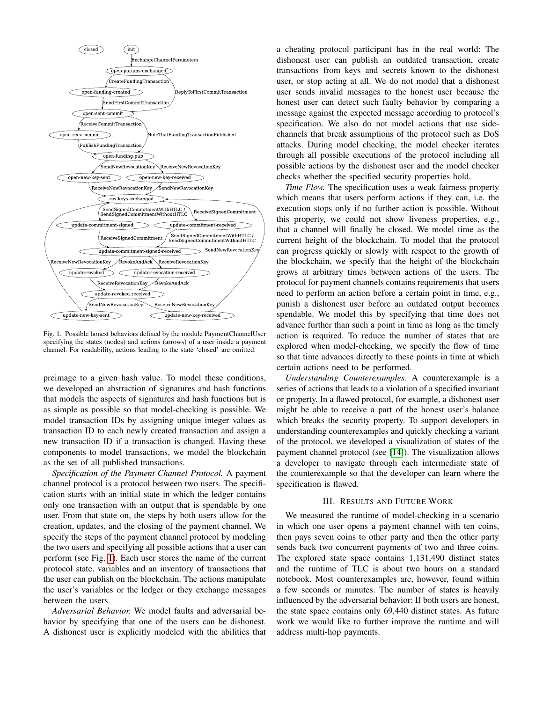

<span id="page-1-0"></span>Fig. 1. Possible honest behaviors defined by the module PaymentChannelUser specifying the states (nodes) and actions (arrows) of a user inside a payment channel. For readability, actions leading to the state 'closed' are omitted.

preimage to a given hash value. To model these conditions, we developed an abstraction of signatures and hash functions that models the aspects of signatures and hash functions but is as simple as possible so that model-checking is possible. We model transaction IDs by assigning unique integer values as transaction ID to each newly created transaction and assign a new transaction ID if a transaction is changed. Having these components to model transactions, we model the blockchain as the set of all published transactions.

*Specification of the Payment Channel Protocol.* A payment channel protocol is a protocol between two users. The specification starts with an initial state in which the ledger contains only one transaction with an output that is spendable by one user. From that state on, the steps by both users allow for the creation, updates, and the closing of the payment channel. We specify the steps of the payment channel protocol by modeling the two users and specifying all possible actions that a user can perform (see Fig. [1\)](#page-1-0). Each user stores the name of the current protocol state, variables and an inventory of transactions that the user can publish on the blockchain. The actions manipulate the user's variables or the ledger or they exchange messages between the users.

*Adversarial Behavior.* We model faults and adversarial behavior by specifying that one of the users can be dishonest. A dishonest user is explicitly modeled with the abilities that a cheating protocol participant has in the real world: The dishonest user can publish an outdated transaction, create transactions from keys and secrets known to the dishonest user, or stop acting at all. We do not model that a dishonest user sends invalid messages to the honest user because the honest user can detect such faulty behavior by comparing a message against the expected message according to protocol's specification. We also do not model actions that use sidechannels that break assumptions of the protocol such as DoS attacks. During model checking, the model checker iterates through all possible executions of the protocol including all possible actions by the dishonest user and the model checker checks whether the specified security properties hold.

*Time Flow.* The specification uses a weak fairness property which means that users perform actions if they can, i.e. the execution stops only if no further action is possible. Without this property, we could not show liveness properties, e.g., that a channel will finally be closed. We model time as the current height of the blockchain. To model that the protocol can progress quickly or slowly with respect to the growth of the blockchain, we specify that the height of the blockchain grows at arbitrary times between actions of the users. The protocol for payment channels contains requirements that users need to perform an action before a certain point in time, e.g., punish a dishonest user before an outdated output becomes spendable. We model this by specifying that time does not advance further than such a point in time as long as the timely action is required. To reduce the number of states that are explored when model-checking, we specify the flow of time so that time advances directly to these points in time at which certain actions need to be performed.

*Understanding Counterexamples.* A counterexample is a series of actions that leads to a violation of a specified invariant or property. In a flawed protocol, for example, a dishonest user might be able to receive a part of the honest user's balance which breaks the security property. To support developers in understanding counterexamples and quickly checking a variant of the protocol, we developed a visualization of states of the payment channel protocol (see [\[14\]](#page-2-13)). The visualization allows a developer to navigate through each intermediate state of the counterexample so that the developer can learn where the specification is flawed.

### III. RESULTS AND FUTURE WORK

We measured the runtime of model-checking in a scenario in which one user opens a payment channel with ten coins, then pays seven coins to other party and then the other party sends back two concurrent payments of two and three coins. The explored state space contains 1,131,490 distinct states and the runtime of TLC is about two hours on a standard notebook. Most counterexamples are, however, found within a few seconds or minutes. The number of states is heavily influenced by the adversarial behavior: If both users are honest, the state space contains only 69,440 distinct states. As future work we would like to further improve the runtime and will address multi-hop payments.